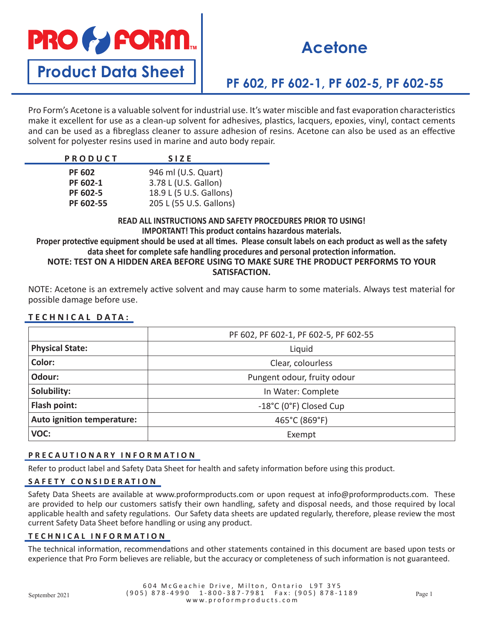# **PRO & FORM**

## **Acetone**

**Product Data Sheet**

### **PF 602, PF 602-1, PF 602-5, PF 602-55**

Pro Form's Acetone is a valuable solvent for industrial use. It's water miscible and fast evaporation characteristics make it excellent for use as a clean-up solvent for adhesives, plastics, lacquers, epoxies, vinyl, contact cements and can be used as a fibreglass cleaner to assure adhesion of resins. Acetone can also be used as an effective solvent for polyester resins used in marine and auto body repair.

| <b>PRODUCT</b> | <b>SIZE</b>             |
|----------------|-------------------------|
| <b>PF 602</b>  | 946 ml (U.S. Quart)     |
| PF 602-1       | 3.78 L (U.S. Gallon)    |
| PF 602-5       | 18.9 L (5 U.S. Gallons) |
| PF 602-55      | 205 L (55 U.S. Gallons) |

**READ ALL INSTRUCTIONS AND SAFETY PROCEDURES PRIOR TO USING! IMPORTANT! This product contains hazardous materials.**

**Proper protective equipment should be used at all times. Please consult labels on each product as well as the safety data sheet for complete safe handling procedures and personal protection information. NOTE: TEST ON A HIDDEN AREA BEFORE USING TO MAKE SURE THE PRODUCT PERFORMS TO YOUR** 

#### **SATISFACTION.**

NOTE: Acetone is an extremely active solvent and may cause harm to some materials. Always test material for possible damage before use.

#### **TECHNICAL DATA:**

|                            | PF 602, PF 602-1, PF 602-5, PF 602-55 |
|----------------------------|---------------------------------------|
| <b>Physical State:</b>     | Liquid                                |
| Color:                     | Clear, colourless                     |
| Odour:                     | Pungent odour, fruity odour           |
| Solubility:                | In Water: Complete                    |
| Flash point:               | -18°C (0°F) Closed Cup                |
| Auto ignition temperature: | 465°C (869°F)                         |
| VOC:                       | Exempt                                |

#### **PRECAUTIONARY INFORMATION**

Refer to product label and Safety Data Sheet for health and safety information before using this product.

#### **SAFETY CONSIDERATION**

Safety Data Sheets are available at www.proformproducts.com or upon request at info@proformproducts.com. These are provided to help our customers satisfy their own handling, safety and disposal needs, and those required by local applicable health and safety regulations. Our Safety data sheets are updated regularly, therefore, please review the most current Safety Data Sheet before handling or using any product.

#### **TECHNICAL INFORMATION**

The technical information, recommendations and other statements contained in this document are based upon tests or experience that Pro Form believes are reliable, but the accuracy or completeness of such information is not guaranteed.